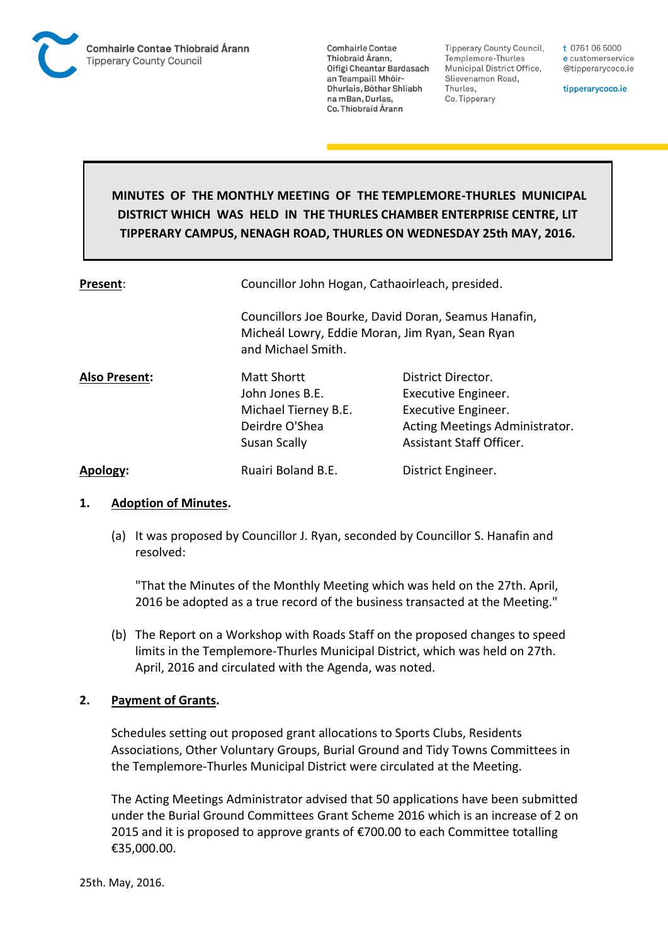

**Tipperary County Council,** Templemore-Thurles Municipal District Office, Slievenamon Road, Thurles, Co. Tipperary

t 0761 06 5000 e customerservice @tipperarycoco.ie

tipperarycoco.ie

# **MINUTES OF THE MONTHLY MEETING OF THE TEMPLEMORE-THURLES MUNICIPAL DISTRICT WHICH WAS HELD IN THE THURLES CHAMBER ENTERPRISE CENTRE, LIT TIPPERARY CAMPUS, NENAGH ROAD, THURLES ON WEDNESDAY 25th MAY, 2016.**

| Present:             | Councillor John Hogan, Cathaoirleach, presided.<br>Councillors Joe Bourke, David Doran, Seamus Hanafin,<br>Micheál Lowry, Eddie Moran, Jim Ryan, Sean Ryan<br>and Michael Smith. |                                                                                                                                |
|----------------------|----------------------------------------------------------------------------------------------------------------------------------------------------------------------------------|--------------------------------------------------------------------------------------------------------------------------------|
|                      |                                                                                                                                                                                  |                                                                                                                                |
| <b>Also Present:</b> | Matt Shortt<br>John Jones B.E.<br>Michael Tierney B.E.<br>Deirdre O'Shea<br>Susan Scally                                                                                         | District Director.<br>Executive Engineer.<br>Executive Engineer.<br>Acting Meetings Administrator.<br>Assistant Staff Officer. |
| Apology:             | Ruairi Boland B.E.                                                                                                                                                               | District Engineer.                                                                                                             |

### **1. Adoption of Minutes.**

(a) It was proposed by Councillor J. Ryan, seconded by Councillor S. Hanafin and resolved:

"That the Minutes of the Monthly Meeting which was held on the 27th. April, 2016 be adopted as a true record of the business transacted at the Meeting."

(b) The Report on a Workshop with Roads Staff on the proposed changes to speed limits in the Templemore-Thurles Municipal District, which was held on 27th. April, 2016 and circulated with the Agenda, was noted.

### **2. Payment of Grants.**

Schedules setting out proposed grant allocations to Sports Clubs, Residents Associations, Other Voluntary Groups, Burial Ground and Tidy Towns Committees in the Templemore-Thurles Municipal District were circulated at the Meeting.

The Acting Meetings Administrator advised that 50 applications have been submitted under the Burial Ground Committees Grant Scheme 2016 which is an increase of 2 on 2015 and it is proposed to approve grants of €700.00 to each Committee totalling €35,000.00.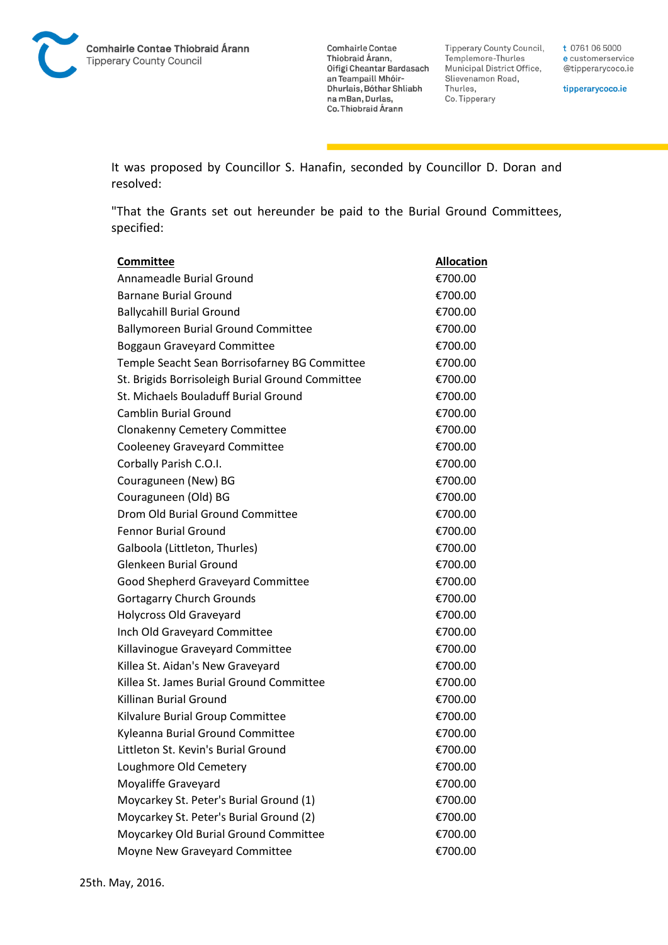

Tipperary County Council, Templemore-Thurles Municipal District Office, Slievenamon Road, Thurles, Co. Tipperary

t 0761 06 5000 e customerservice @tipperarycoco.ie

tipperarycoco.ie

It was proposed by Councillor S. Hanafin, seconded by Councillor D. Doran and resolved:

"That the Grants set out hereunder be paid to the Burial Ground Committees, specified:

| <b>Committee</b>                                 | <b>Allocation</b> |
|--------------------------------------------------|-------------------|
| Annameadle Burial Ground                         | €700.00           |
| <b>Barnane Burial Ground</b>                     | €700.00           |
| <b>Ballycahill Burial Ground</b>                 | €700.00           |
| <b>Ballymoreen Burial Ground Committee</b>       | €700.00           |
| <b>Boggaun Graveyard Committee</b>               | €700.00           |
| Temple Seacht Sean Borrisofarney BG Committee    | €700.00           |
| St. Brigids Borrisoleigh Burial Ground Committee | €700.00           |
| St. Michaels Bouladuff Burial Ground             | €700.00           |
| <b>Camblin Burial Ground</b>                     | €700.00           |
| <b>Clonakenny Cemetery Committee</b>             | €700.00           |
| Cooleeney Graveyard Committee                    | €700.00           |
| Corbally Parish C.O.I.                           | €700.00           |
| Couraguneen (New) BG                             | €700.00           |
| Couraguneen (Old) BG                             | €700.00           |
| Drom Old Burial Ground Committee                 | €700.00           |
| <b>Fennor Burial Ground</b>                      | €700.00           |
| Galboola (Littleton, Thurles)                    | €700.00           |
| Glenkeen Burial Ground                           | €700.00           |
| Good Shepherd Graveyard Committee                | €700.00           |
| <b>Gortagarry Church Grounds</b>                 | €700.00           |
| <b>Holycross Old Graveyard</b>                   | €700.00           |
| Inch Old Graveyard Committee                     | €700.00           |
| Killavinogue Graveyard Committee                 | €700.00           |
| Killea St. Aidan's New Graveyard                 | €700.00           |
| Killea St. James Burial Ground Committee         | €700.00           |
| Killinan Burial Ground                           | €700.00           |
| Kilvalure Burial Group Committee                 | €700.00           |
| Kyleanna Burial Ground Committee                 | €700.00           |
| Littleton St. Kevin's Burial Ground              | €700.00           |
| Loughmore Old Cemetery                           | €700.00           |
| Moyaliffe Graveyard                              | €700.00           |
| Moycarkey St. Peter's Burial Ground (1)          | €700.00           |
| Moycarkey St. Peter's Burial Ground (2)          | €700.00           |
| Moycarkey Old Burial Ground Committee            | €700.00           |
| Moyne New Graveyard Committee                    | €700.00           |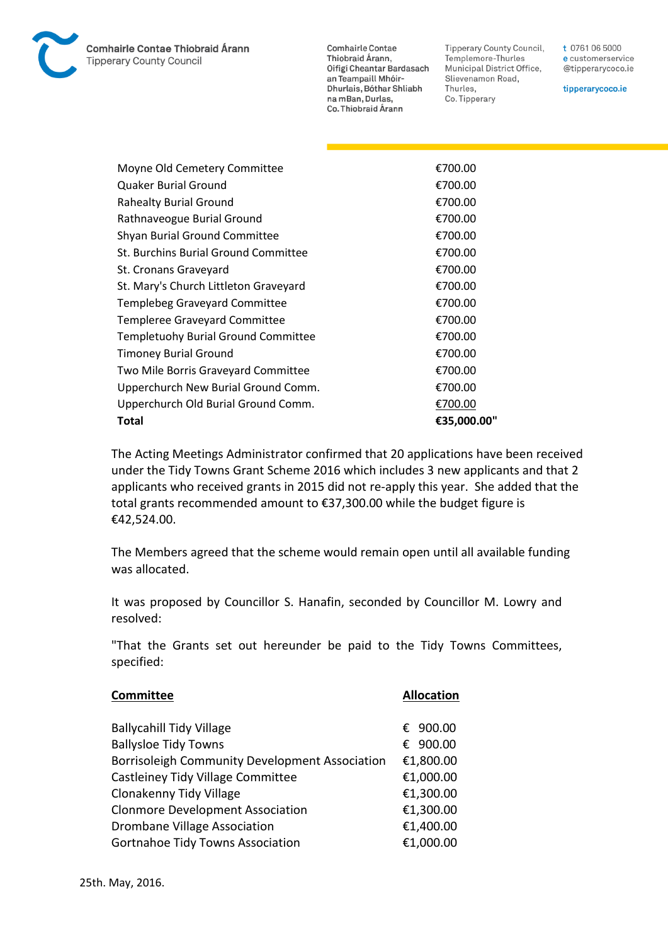**Tipperary County Council,** Templemore-Thurles Municipal District Office, Slievenamon Road, Thurles, Co. Tipperary

t 0761 06 5000 e customerservice @tipperarycoco.ie

tipperarycoco.ie

| <b>Total</b>                               | €35,000.00" |
|--------------------------------------------|-------------|
| Upperchurch Old Burial Ground Comm.        | €700.00     |
| Upperchurch New Burial Ground Comm.        | €700.00     |
| Two Mile Borris Graveyard Committee        | €700.00     |
| <b>Timoney Burial Ground</b>               | €700.00     |
| <b>Templetuohy Burial Ground Committee</b> | €700.00     |
| Templeree Graveyard Committee              | €700.00     |
| <b>Templebeg Graveyard Committee</b>       | €700.00     |
| St. Mary's Church Littleton Graveyard      | €700.00     |
| St. Cronans Graveyard                      | €700.00     |
| St. Burchins Burial Ground Committee       | €700.00     |
| <b>Shyan Burial Ground Committee</b>       | €700.00     |
| Rathnaveogue Burial Ground                 | €700.00     |
| <b>Rahealty Burial Ground</b>              | €700.00     |
| Quaker Burial Ground                       | €700.00     |
| Moyne Old Cemetery Committee               | €700.00     |
|                                            |             |

The Acting Meetings Administrator confirmed that 20 applications have been received under the Tidy Towns Grant Scheme 2016 which includes 3 new applicants and that 2 applicants who received grants in 2015 did not re-apply this year. She added that the total grants recommended amount to €37,300.00 while the budget figure is €42,524.00.

The Members agreed that the scheme would remain open until all available funding was allocated.

It was proposed by Councillor S. Hanafin, seconded by Councillor M. Lowry and resolved:

"That the Grants set out hereunder be paid to the Tidy Towns Committees, specified:

| <b>Committee</b>                               | <b>Allocation</b> |
|------------------------------------------------|-------------------|
|                                                |                   |
| <b>Ballycahill Tidy Village</b>                | € 900.00          |
| <b>Ballysloe Tidy Towns</b>                    | € 900.00          |
| Borrisoleigh Community Development Association | €1,800.00         |
| Castleiney Tidy Village Committee              | €1,000.00         |
| Clonakenny Tidy Village                        | €1,300.00         |
| <b>Clonmore Development Association</b>        | €1,300.00         |
| <b>Drombane Village Association</b>            | €1,400.00         |
| Gortnahoe Tidy Towns Association               | €1,000.00         |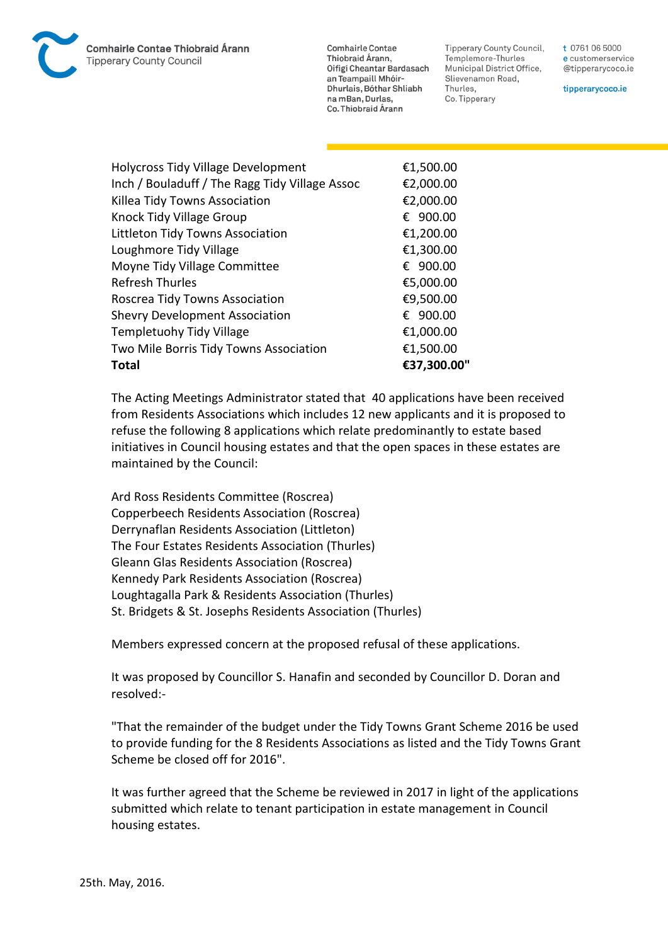

**Tipperary County Council,** Templemore-Thurles Municipal District Office, Slievenamon Road, Thurles, Co. Tipperary

t 0761 06 5000 e customerservice @tipperarycoco.ie

tipperarycoco.ie

| <b>Total</b>                                   | €37,300.00" |
|------------------------------------------------|-------------|
| Two Mile Borris Tidy Towns Association         | €1,500.00   |
| Templetuohy Tidy Village                       | €1,000.00   |
| <b>Shevry Development Association</b>          | € 900.00    |
| Roscrea Tidy Towns Association                 | €9,500.00   |
| <b>Refresh Thurles</b>                         | €5,000.00   |
| Moyne Tidy Village Committee                   | € 900.00    |
| Loughmore Tidy Village                         | €1,300.00   |
| Littleton Tidy Towns Association               | €1,200.00   |
| Knock Tidy Village Group                       | € 900.00    |
| Killea Tidy Towns Association                  | €2,000.00   |
| Inch / Bouladuff / The Ragg Tidy Village Assoc | €2,000.00   |
| <b>Holycross Tidy Village Development</b>      | €1,500.00   |
|                                                |             |

The Acting Meetings Administrator stated that 40 applications have been received from Residents Associations which includes 12 new applicants and it is proposed to refuse the following 8 applications which relate predominantly to estate based initiatives in Council housing estates and that the open spaces in these estates are maintained by the Council:

Ard Ross Residents Committee (Roscrea) Copperbeech Residents Association (Roscrea) Derrynaflan Residents Association (Littleton) The Four Estates Residents Association (Thurles) Gleann Glas Residents Association (Roscrea) Kennedy Park Residents Association (Roscrea) Loughtagalla Park & Residents Association (Thurles) St. Bridgets & St. Josephs Residents Association (Thurles)

Members expressed concern at the proposed refusal of these applications.

It was proposed by Councillor S. Hanafin and seconded by Councillor D. Doran and resolved:-

"That the remainder of the budget under the Tidy Towns Grant Scheme 2016 be used to provide funding for the 8 Residents Associations as listed and the Tidy Towns Grant Scheme be closed off for 2016".

It was further agreed that the Scheme be reviewed in 2017 in light of the applications submitted which relate to tenant participation in estate management in Council housing estates.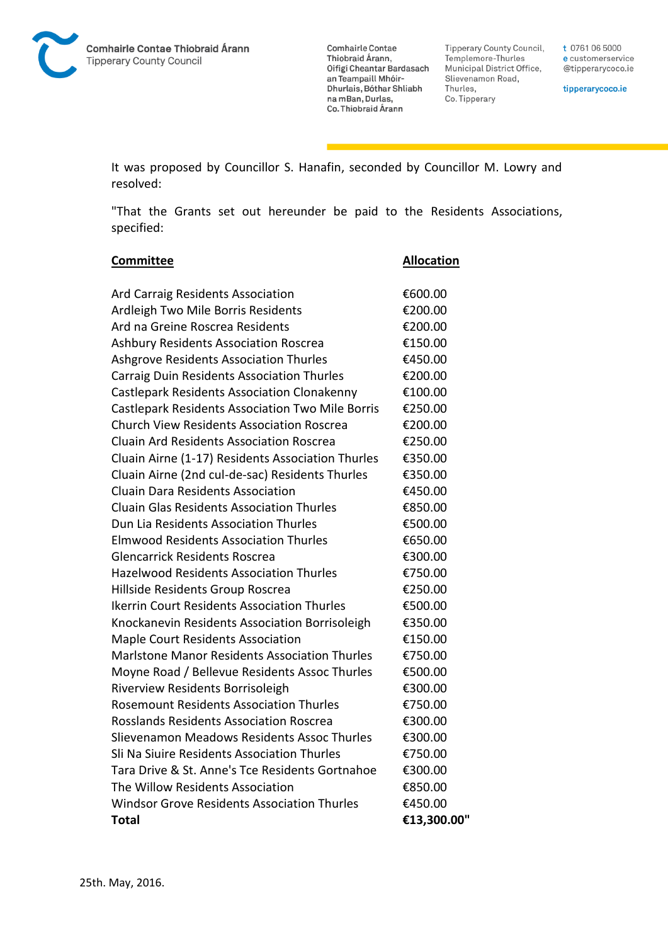

Tipperary County Council, Templemore-Thurles Municipal District Office, Slievenamon Road, Thurles, Co. Tipperary

t 0761 06 5000 e customerservice @tipperarycoco.ie

tipperarycoco.ie

It was proposed by Councillor S. Hanafin, seconded by Councillor M. Lowry and resolved:

"That the Grants set out hereunder be paid to the Residents Associations, specified:

| <b>Committee</b>                                        | <b>Allocation</b> |
|---------------------------------------------------------|-------------------|
|                                                         |                   |
| Ard Carraig Residents Association                       | €600.00           |
| Ardleigh Two Mile Borris Residents                      | €200.00           |
| Ard na Greine Roscrea Residents                         | €200.00           |
| <b>Ashbury Residents Association Roscrea</b>            | €150.00           |
| <b>Ashgrove Residents Association Thurles</b>           | €450.00           |
| <b>Carraig Duin Residents Association Thurles</b>       | €200.00           |
| Castlepark Residents Association Clonakenny             | €100.00           |
| <b>Castlepark Residents Association Two Mile Borris</b> | €250.00           |
| <b>Church View Residents Association Roscrea</b>        | €200.00           |
| <b>Cluain Ard Residents Association Roscrea</b>         | €250.00           |
| Cluain Airne (1-17) Residents Association Thurles       | €350.00           |
| Cluain Airne (2nd cul-de-sac) Residents Thurles         | €350.00           |
| <b>Cluain Dara Residents Association</b>                | €450.00           |
| <b>Cluain Glas Residents Association Thurles</b>        | €850.00           |
| Dun Lia Residents Association Thurles                   | €500.00           |
| <b>Elmwood Residents Association Thurles</b>            | €650.00           |
| <b>Glencarrick Residents Roscrea</b>                    | €300.00           |
| <b>Hazelwood Residents Association Thurles</b>          | €750.00           |
| Hillside Residents Group Roscrea                        | €250.00           |
| Ikerrin Court Residents Association Thurles             | €500.00           |
| Knockanevin Residents Association Borrisoleigh          | €350.00           |
| <b>Maple Court Residents Association</b>                | €150.00           |
| Marlstone Manor Residents Association Thurles           | €750.00           |
| Moyne Road / Bellevue Residents Assoc Thurles           | €500.00           |
| Riverview Residents Borrisoleigh                        | €300.00           |
| <b>Rosemount Residents Association Thurles</b>          | €750.00           |
| <b>Rosslands Residents Association Roscrea</b>          | €300.00           |
| Slievenamon Meadows Residents Assoc Thurles             | €300.00           |
| Sli Na Siuire Residents Association Thurles             | €750.00           |
| Tara Drive & St. Anne's Tce Residents Gortnahoe         | €300.00           |
| The Willow Residents Association                        | €850.00           |
| <b>Windsor Grove Residents Association Thurles</b>      | €450.00           |
| <b>Total</b>                                            | €13,300.00"       |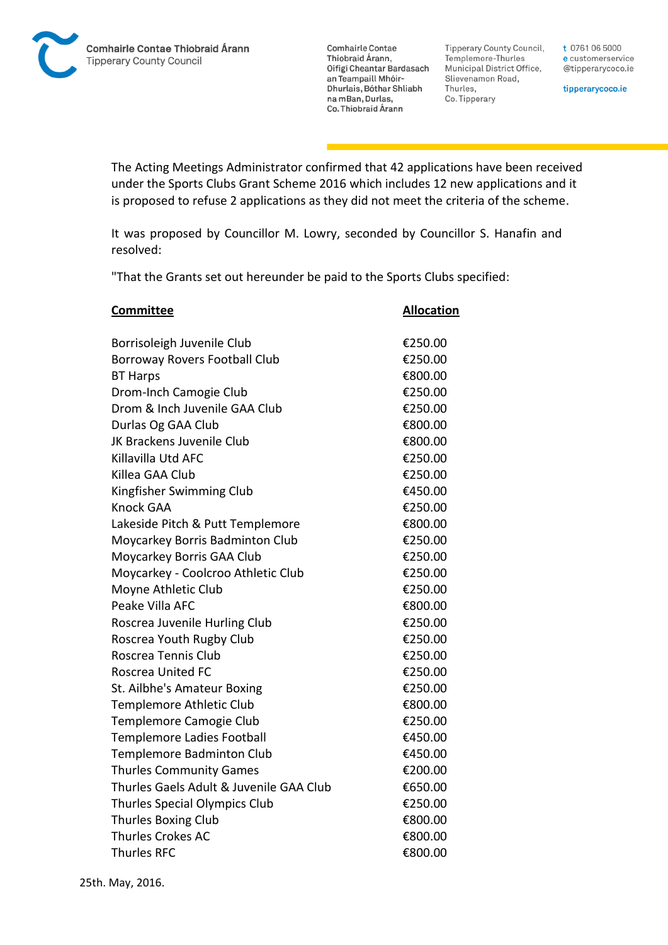**Tipperary County Council,** Templemore-Thurles Municipal District Office, Slievenamon Road, Thurles, Co. Tipperary

t 0761 06 5000 e customerservice @tipperarycoco.ie

tipperarycoco.ie

The Acting Meetings Administrator confirmed that 42 applications have been received under the Sports Clubs Grant Scheme 2016 which includes 12 new applications and it is proposed to refuse 2 applications as they did not meet the criteria of the scheme.

It was proposed by Councillor M. Lowry, seconded by Councillor S. Hanafin and resolved:

"That the Grants set out hereunder be paid to the Sports Clubs specified:

| <b>Committee</b>                        | <b>Allocation</b> |
|-----------------------------------------|-------------------|
|                                         |                   |
| Borrisoleigh Juvenile Club              | €250.00           |
| <b>Borroway Rovers Football Club</b>    | €250.00           |
| <b>BT Harps</b>                         | €800.00           |
| Drom-Inch Camogie Club                  | €250.00           |
| Drom & Inch Juvenile GAA Club           | €250.00           |
| Durlas Og GAA Club                      | €800.00           |
| JK Brackens Juvenile Club               | €800.00           |
| Killavilla Utd AFC                      | €250.00           |
| Killea GAA Club                         | €250.00           |
| Kingfisher Swimming Club                | €450.00           |
| <b>Knock GAA</b>                        | €250.00           |
| Lakeside Pitch & Putt Templemore        | €800.00           |
| Moycarkey Borris Badminton Club         | €250.00           |
| Moycarkey Borris GAA Club               | €250.00           |
| Moycarkey - Coolcroo Athletic Club      | €250.00           |
| Moyne Athletic Club                     | €250.00           |
| Peake Villa AFC                         | €800.00           |
| Roscrea Juvenile Hurling Club           | €250.00           |
| Roscrea Youth Rugby Club                | €250.00           |
| Roscrea Tennis Club                     | €250.00           |
| Roscrea United FC                       | €250.00           |
| St. Ailbhe's Amateur Boxing             | €250.00           |
| Templemore Athletic Club                | €800.00           |
| Templemore Camogie Club                 | €250.00           |
| <b>Templemore Ladies Football</b>       | €450.00           |
| Templemore Badminton Club               | €450.00           |
| <b>Thurles Community Games</b>          | €200.00           |
| Thurles Gaels Adult & Juvenile GAA Club | €650.00           |
| <b>Thurles Special Olympics Club</b>    | €250.00           |
| Thurles Boxing Club                     | €800.00           |
| <b>Thurles Crokes AC</b>                | €800.00           |
| <b>Thurles RFC</b>                      | €800.00           |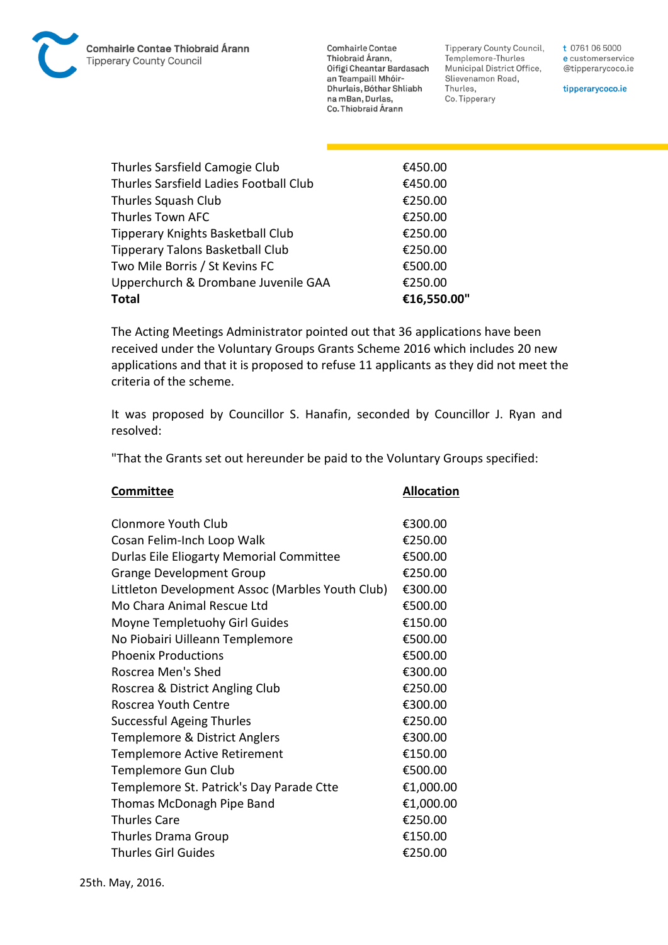**Tipperary County Council,** Templemore-Thurles Municipal District Office, Slievenamon Road, Thurles, Co. Tipperary

t 0761 06 5000 e customerservice @tipperarycoco.ie

tipperarycoco.ie

| <b>Total</b>                            | €16,550.00" |
|-----------------------------------------|-------------|
| Upperchurch & Drombane Juvenile GAA     | €250.00     |
| Two Mile Borris / St Kevins FC          | €500.00     |
| <b>Tipperary Talons Basketball Club</b> | €250.00     |
| Tipperary Knights Basketball Club       | €250.00     |
| Thurles Town AFC                        | €250.00     |
| Thurles Squash Club                     | €250.00     |
| Thurles Sarsfield Ladies Football Club  | €450.00     |
| Thurles Sarsfield Camogie Club          | €450.00     |

The Acting Meetings Administrator pointed out that 36 applications have been received under the Voluntary Groups Grants Scheme 2016 which includes 20 new applications and that it is proposed to refuse 11 applicants as they did not meet the criteria of the scheme.

It was proposed by Councillor S. Hanafin, seconded by Councillor J. Ryan and resolved:

"That the Grants set out hereunder be paid to the Voluntary Groups specified:

| <b>Committee</b>                                 | <b>Allocation</b> |
|--------------------------------------------------|-------------------|
| Clonmore Youth Club                              | €300.00           |
| Cosan Felim-Inch Loop Walk                       | €250.00           |
| Durlas Eile Eliogarty Memorial Committee         | €500.00           |
| <b>Grange Development Group</b>                  | €250.00           |
| Littleton Development Assoc (Marbles Youth Club) | €300.00           |
| Mo Chara Animal Rescue Ltd                       | €500.00           |
| Moyne Templetuohy Girl Guides                    | €150.00           |
| No Piobairi Uilleann Templemore                  | €500.00           |
| <b>Phoenix Productions</b>                       | €500.00           |
| Roscrea Men's Shed                               | €300.00           |
| Roscrea & District Angling Club                  | €250.00           |
| Roscrea Youth Centre                             | €300.00           |
| <b>Successful Ageing Thurles</b>                 | €250.00           |
| Templemore & District Anglers                    | €300.00           |
| Templemore Active Retirement                     | €150.00           |
| Templemore Gun Club                              | €500.00           |
| Templemore St. Patrick's Day Parade Ctte         | €1,000.00         |
| Thomas McDonagh Pipe Band                        | €1,000.00         |
| <b>Thurles Care</b>                              | €250.00           |
| Thurles Drama Group                              | €150.00           |
| <b>Thurles Girl Guides</b>                       | €250.00           |

25th. May, 2016.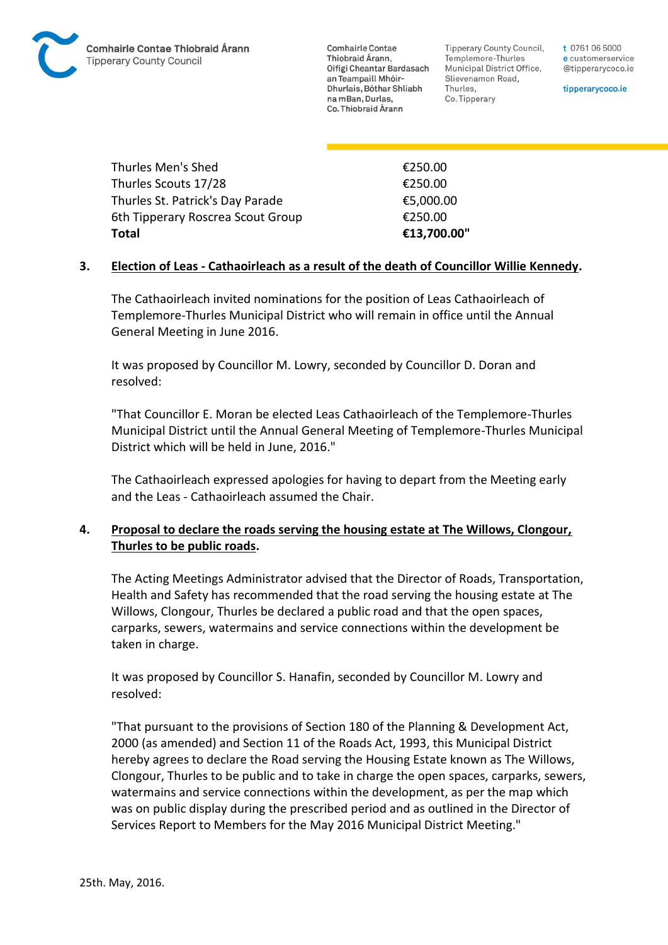Tipperary County Council. Templemore-Thurles Municipal District Office, Slievenamon Road, Thurles, Co. Tipperary

t 0761 06 5000 e customerservice @tipperarycoco.ie

tipperarycoco.ie

Thurles Men's Shed  $£250.00$ Thurles Scouts 17/28 €250.00 Thurles St. Patrick's Day Parade €5,000.00 6th Tipperary Roscrea Scout Group €250.00 **Total €13,700.00"**

## **3. Election of Leas - Cathaoirleach as a result of the death of Councillor Willie Kennedy.**

The Cathaoirleach invited nominations for the position of Leas Cathaoirleach of Templemore-Thurles Municipal District who will remain in office until the Annual General Meeting in June 2016.

It was proposed by Councillor M. Lowry, seconded by Councillor D. Doran and resolved:

"That Councillor E. Moran be elected Leas Cathaoirleach of the Templemore-Thurles Municipal District until the Annual General Meeting of Templemore-Thurles Municipal District which will be held in June, 2016."

The Cathaoirleach expressed apologies for having to depart from the Meeting early and the Leas - Cathaoirleach assumed the Chair.

## **4. Proposal to declare the roads serving the housing estate at The Willows, Clongour, Thurles to be public roads.**

The Acting Meetings Administrator advised that the Director of Roads, Transportation, Health and Safety has recommended that the road serving the housing estate at The Willows, Clongour, Thurles be declared a public road and that the open spaces, carparks, sewers, watermains and service connections within the development be taken in charge.

It was proposed by Councillor S. Hanafin, seconded by Councillor M. Lowry and resolved:

"That pursuant to the provisions of Section 180 of the Planning & Development Act, 2000 (as amended) and Section 11 of the Roads Act, 1993, this Municipal District hereby agrees to declare the Road serving the Housing Estate known as The Willows, Clongour, Thurles to be public and to take in charge the open spaces, carparks, sewers, watermains and service connections within the development, as per the map which was on public display during the prescribed period and as outlined in the Director of Services Report to Members for the May 2016 Municipal District Meeting."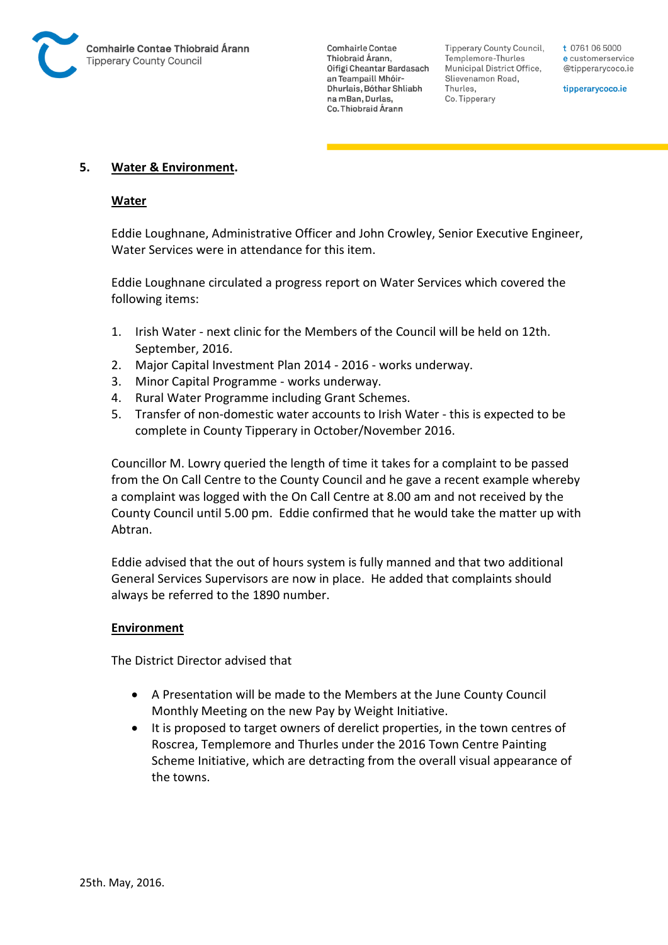

Tipperary County Council. Templemore-Thurles Municipal District Office, Slievenamon Road, Thurles, Co. Tipperary

t 0761 06 5000 e customerservice @tipperarycoco.ie

tipperarycoco.ie

#### **5. Water & Environment.**

#### **Water**

Eddie Loughnane, Administrative Officer and John Crowley, Senior Executive Engineer, Water Services were in attendance for this item.

Eddie Loughnane circulated a progress report on Water Services which covered the following items:

- 1. Irish Water next clinic for the Members of the Council will be held on 12th. September, 2016.
- 2. Major Capital Investment Plan 2014 2016 works underway.
- 3. Minor Capital Programme works underway.
- 4. Rural Water Programme including Grant Schemes.
- 5. Transfer of non-domestic water accounts to Irish Water this is expected to be complete in County Tipperary in October/November 2016.

Councillor M. Lowry queried the length of time it takes for a complaint to be passed from the On Call Centre to the County Council and he gave a recent example whereby a complaint was logged with the On Call Centre at 8.00 am and not received by the County Council until 5.00 pm. Eddie confirmed that he would take the matter up with Abtran.

Eddie advised that the out of hours system is fully manned and that two additional General Services Supervisors are now in place. He added that complaints should always be referred to the 1890 number.

#### **Environment**

The District Director advised that

- A Presentation will be made to the Members at the June County Council Monthly Meeting on the new Pay by Weight Initiative.
- It is proposed to target owners of derelict properties, in the town centres of Roscrea, Templemore and Thurles under the 2016 Town Centre Painting Scheme Initiative, which are detracting from the overall visual appearance of the towns.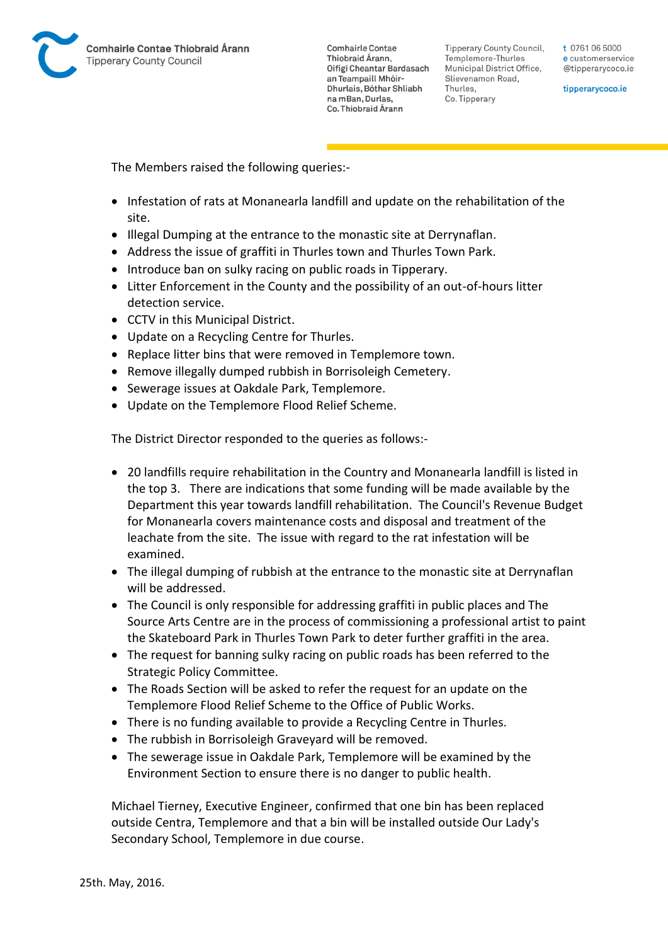

Tipperary County Council. Templemore-Thurles Municipal District Office, Slievenamon Road, Thurles, Co. Tipperary

t 0761 06 5000 e customerservice @tipperarycoco.ie

tipperarycoco.ie

The Members raised the following queries:-

- Infestation of rats at Monanearla landfill and update on the rehabilitation of the site.
- Illegal Dumping at the entrance to the monastic site at Derrynaflan.
- Address the issue of graffiti in Thurles town and Thurles Town Park.
- Introduce ban on sulky racing on public roads in Tipperary.
- Litter Enforcement in the County and the possibility of an out-of-hours litter detection service.
- CCTV in this Municipal District.
- Update on a Recycling Centre for Thurles.
- Replace litter bins that were removed in Templemore town.
- Remove illegally dumped rubbish in Borrisoleigh Cemetery.
- Sewerage issues at Oakdale Park, Templemore.
- Update on the Templemore Flood Relief Scheme.

The District Director responded to the queries as follows:-

- 20 landfills require rehabilitation in the Country and Monanearla landfill is listed in the top 3. There are indications that some funding will be made available by the Department this year towards landfill rehabilitation. The Council's Revenue Budget for Monanearla covers maintenance costs and disposal and treatment of the leachate from the site. The issue with regard to the rat infestation will be examined.
- The illegal dumping of rubbish at the entrance to the monastic site at Derrynaflan will be addressed.
- The Council is only responsible for addressing graffiti in public places and The Source Arts Centre are in the process of commissioning a professional artist to paint the Skateboard Park in Thurles Town Park to deter further graffiti in the area.
- The request for banning sulky racing on public roads has been referred to the Strategic Policy Committee.
- The Roads Section will be asked to refer the request for an update on the Templemore Flood Relief Scheme to the Office of Public Works.
- There is no funding available to provide a Recycling Centre in Thurles.
- The rubbish in Borrisoleigh Graveyard will be removed.
- The sewerage issue in Oakdale Park, Templemore will be examined by the Environment Section to ensure there is no danger to public health.

Michael Tierney, Executive Engineer, confirmed that one bin has been replaced outside Centra, Templemore and that a bin will be installed outside Our Lady's Secondary School, Templemore in due course.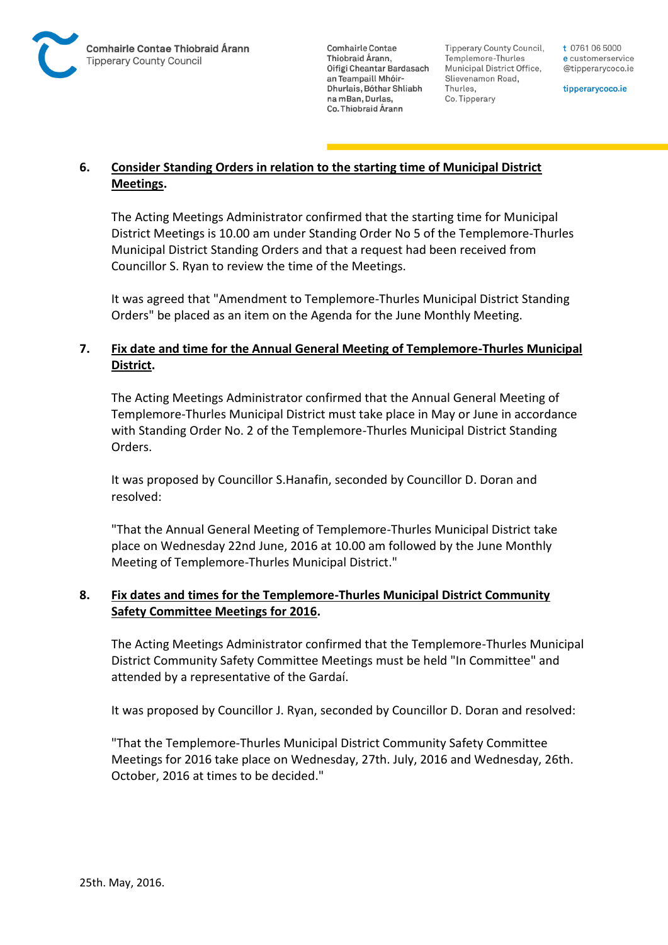

Tipperary County Council. Templemore-Thurles Municipal District Office, Slievenamon Road, Thurles, Co. Tipperary

t 0761 06 5000 e customerservice @tipperarycoco.ie

tipperarycoco.ie

## **6. Consider Standing Orders in relation to the starting time of Municipal District Meetings.**

The Acting Meetings Administrator confirmed that the starting time for Municipal District Meetings is 10.00 am under Standing Order No 5 of the Templemore-Thurles Municipal District Standing Orders and that a request had been received from Councillor S. Ryan to review the time of the Meetings.

It was agreed that "Amendment to Templemore-Thurles Municipal District Standing Orders" be placed as an item on the Agenda for the June Monthly Meeting.

## **7. Fix date and time for the Annual General Meeting of Templemore-Thurles Municipal District.**

The Acting Meetings Administrator confirmed that the Annual General Meeting of Templemore-Thurles Municipal District must take place in May or June in accordance with Standing Order No. 2 of the Templemore-Thurles Municipal District Standing Orders.

It was proposed by Councillor S.Hanafin, seconded by Councillor D. Doran and resolved:

"That the Annual General Meeting of Templemore-Thurles Municipal District take place on Wednesday 22nd June, 2016 at 10.00 am followed by the June Monthly Meeting of Templemore-Thurles Municipal District."

## **8. Fix dates and times for the Templemore-Thurles Municipal District Community Safety Committee Meetings for 2016.**

The Acting Meetings Administrator confirmed that the Templemore-Thurles Municipal District Community Safety Committee Meetings must be held "In Committee" and attended by a representative of the Gardaí.

It was proposed by Councillor J. Ryan, seconded by Councillor D. Doran and resolved:

"That the Templemore-Thurles Municipal District Community Safety Committee Meetings for 2016 take place on Wednesday, 27th. July, 2016 and Wednesday, 26th. October, 2016 at times to be decided."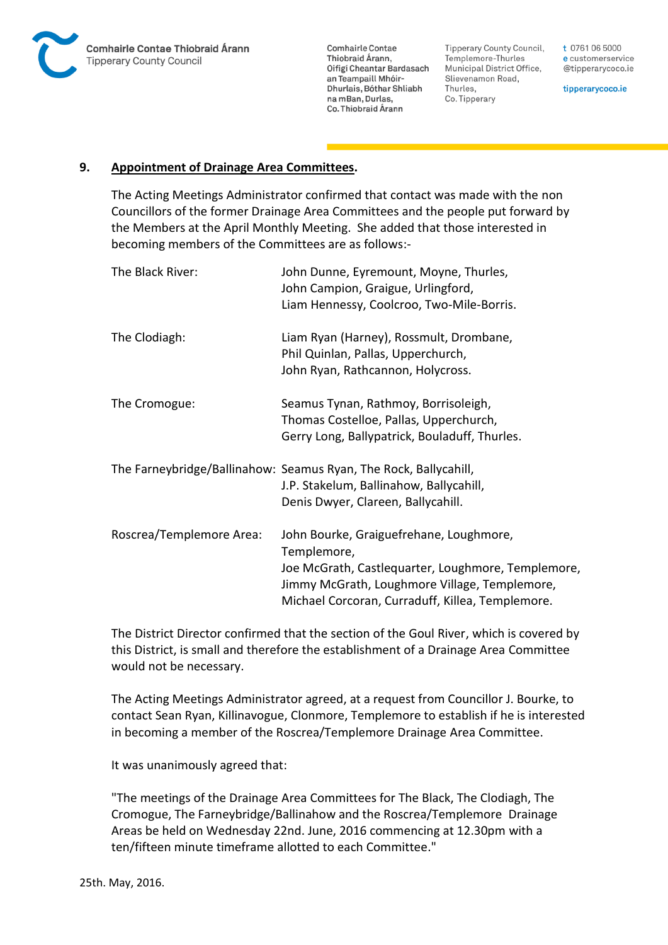

**Tipperary County Council,** Templemore-Thurles Municipal District Office, Slievenamon Road, Thurles, Co. Tipperary

t 0761 06 5000 e customerservice @tipperarycoco.ie

tipperarycoco.ie

### **9. Appointment of Drainage Area Committees.**

The Acting Meetings Administrator confirmed that contact was made with the non Councillors of the former Drainage Area Committees and the people put forward by the Members at the April Monthly Meeting. She added that those interested in becoming members of the Committees are as follows:-

| The Black River:         | John Dunne, Eyremount, Moyne, Thurles,<br>John Campion, Graigue, Urlingford,<br>Liam Hennessy, Coolcroo, Two-Mile-Borris.                                                                                         |
|--------------------------|-------------------------------------------------------------------------------------------------------------------------------------------------------------------------------------------------------------------|
| The Clodiagh:            | Liam Ryan (Harney), Rossmult, Drombane,<br>Phil Quinlan, Pallas, Upperchurch,<br>John Ryan, Rathcannon, Holycross.                                                                                                |
| The Cromogue:            | Seamus Tynan, Rathmoy, Borrisoleigh,<br>Thomas Costelloe, Pallas, Upperchurch,<br>Gerry Long, Ballypatrick, Bouladuff, Thurles.                                                                                   |
|                          | The Farneybridge/Ballinahow: Seamus Ryan, The Rock, Ballycahill,<br>J.P. Stakelum, Ballinahow, Ballycahill,<br>Denis Dwyer, Clareen, Ballycahill.                                                                 |
| Roscrea/Templemore Area: | John Bourke, Graiguefrehane, Loughmore,<br>Templemore,<br>Joe McGrath, Castlequarter, Loughmore, Templemore,<br>Jimmy McGrath, Loughmore Village, Templemore,<br>Michael Corcoran, Curraduff, Killea, Templemore. |

The District Director confirmed that the section of the Goul River, which is covered by this District, is small and therefore the establishment of a Drainage Area Committee would not be necessary.

The Acting Meetings Administrator agreed, at a request from Councillor J. Bourke, to contact Sean Ryan, Killinavogue, Clonmore, Templemore to establish if he is interested in becoming a member of the Roscrea/Templemore Drainage Area Committee.

It was unanimously agreed that:

"The meetings of the Drainage Area Committees for The Black, The Clodiagh, The Cromogue, The Farneybridge/Ballinahow and the Roscrea/Templemore Drainage Areas be held on Wednesday 22nd. June, 2016 commencing at 12.30pm with a ten/fifteen minute timeframe allotted to each Committee."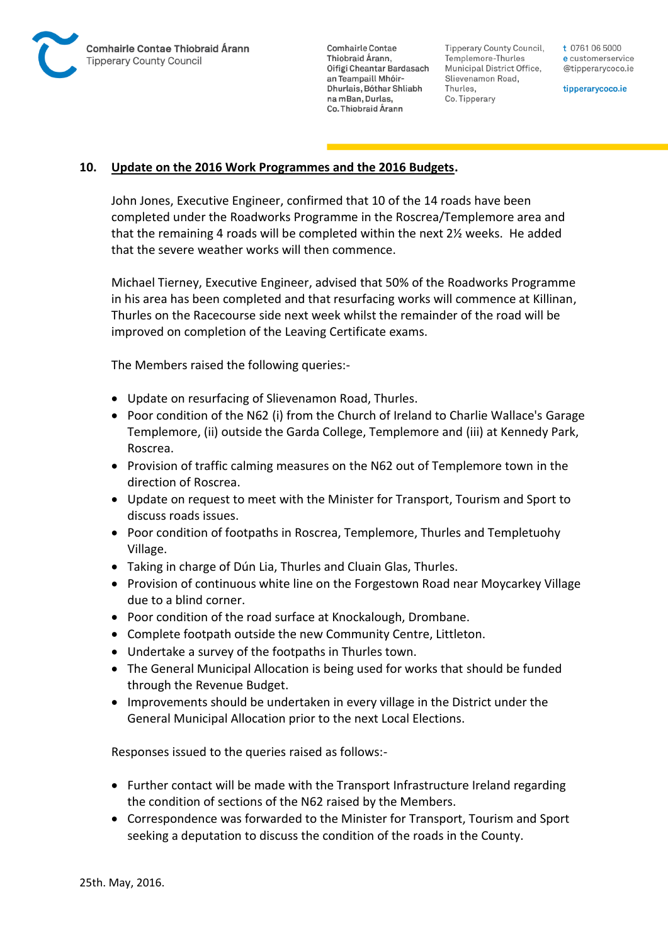

Tipperary County Council. Templemore-Thurles Municipal District Office, Slievenamon Road, Thurles, Co. Tipperary

t 0761 06 5000 e customerservice @tipperarycoco.ie

tipperarycoco.ie

## **10. Update on the 2016 Work Programmes and the 2016 Budgets.**

John Jones, Executive Engineer, confirmed that 10 of the 14 roads have been completed under the Roadworks Programme in the Roscrea/Templemore area and that the remaining 4 roads will be completed within the next 2½ weeks. He added that the severe weather works will then commence.

Michael Tierney, Executive Engineer, advised that 50% of the Roadworks Programme in his area has been completed and that resurfacing works will commence at Killinan, Thurles on the Racecourse side next week whilst the remainder of the road will be improved on completion of the Leaving Certificate exams.

The Members raised the following queries:-

- Update on resurfacing of Slievenamon Road, Thurles.
- Poor condition of the N62 (i) from the Church of Ireland to Charlie Wallace's Garage Templemore, (ii) outside the Garda College, Templemore and (iii) at Kennedy Park, Roscrea.
- Provision of traffic calming measures on the N62 out of Templemore town in the direction of Roscrea.
- Update on request to meet with the Minister for Transport, Tourism and Sport to discuss roads issues.
- Poor condition of footpaths in Roscrea, Templemore, Thurles and Templetuohy Village.
- Taking in charge of Dún Lia, Thurles and Cluain Glas, Thurles.
- Provision of continuous white line on the Forgestown Road near Moycarkey Village due to a blind corner.
- Poor condition of the road surface at Knockalough, Drombane.
- Complete footpath outside the new Community Centre, Littleton.
- Undertake a survey of the footpaths in Thurles town.
- The General Municipal Allocation is being used for works that should be funded through the Revenue Budget.
- Improvements should be undertaken in every village in the District under the General Municipal Allocation prior to the next Local Elections.

Responses issued to the queries raised as follows:-

- Further contact will be made with the Transport Infrastructure Ireland regarding the condition of sections of the N62 raised by the Members.
- Correspondence was forwarded to the Minister for Transport, Tourism and Sport seeking a deputation to discuss the condition of the roads in the County.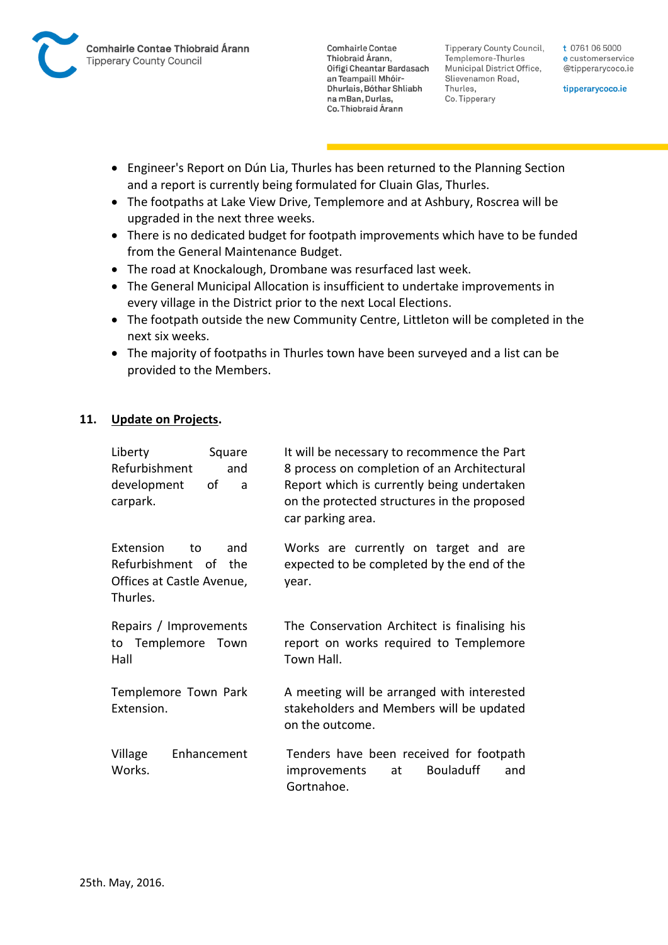

Tipperary County Council, Templemore-Thurles Municipal District Office, Slievenamon Road, Thurles, Co. Tipperary

t 0761 06 5000 e customerservice @tipperarycoco.ie

tipperarycoco.ie

- Engineer's Report on Dún Lia, Thurles has been returned to the Planning Section and a report is currently being formulated for Cluain Glas, Thurles.
- The footpaths at Lake View Drive, Templemore and at Ashbury, Roscrea will be upgraded in the next three weeks.
- There is no dedicated budget for footpath improvements which have to be funded from the General Maintenance Budget.
- The road at Knockalough, Drombane was resurfaced last week.
- The General Municipal Allocation is insufficient to undertake improvements in every village in the District prior to the next Local Elections.
- The footpath outside the new Community Centre, Littleton will be completed in the next six weeks.
- The majority of footpaths in Thurles town have been surveyed and a list can be provided to the Members.

## **11. Update on Projects.**

| Liberty<br>Square<br>Refurbishment<br>and<br>development<br>οf<br>a<br>carpark.                | It will be necessary to recommence the Part<br>8 process on completion of an Architectural<br>Report which is currently being undertaken<br>on the protected structures in the proposed<br>car parking area. |
|------------------------------------------------------------------------------------------------|--------------------------------------------------------------------------------------------------------------------------------------------------------------------------------------------------------------|
| <b>Extension</b><br>and<br>to<br>Refurbishment of the<br>Offices at Castle Avenue,<br>Thurles. | Works are currently on target and are<br>expected to be completed by the end of the<br>year.                                                                                                                 |
| Repairs / Improvements<br>to Templemore Town<br>Hall                                           | The Conservation Architect is finalising his<br>report on works required to Templemore<br>Town Hall.                                                                                                         |
| Templemore Town Park<br>Extension.                                                             | A meeting will be arranged with interested<br>stakeholders and Members will be updated<br>on the outcome.                                                                                                    |
| Village<br>Enhancement<br>Works.                                                               | Tenders have been received for footpath<br><b>Bouladuff</b><br>improvements<br>at<br>and<br>Gortnahoe.                                                                                                       |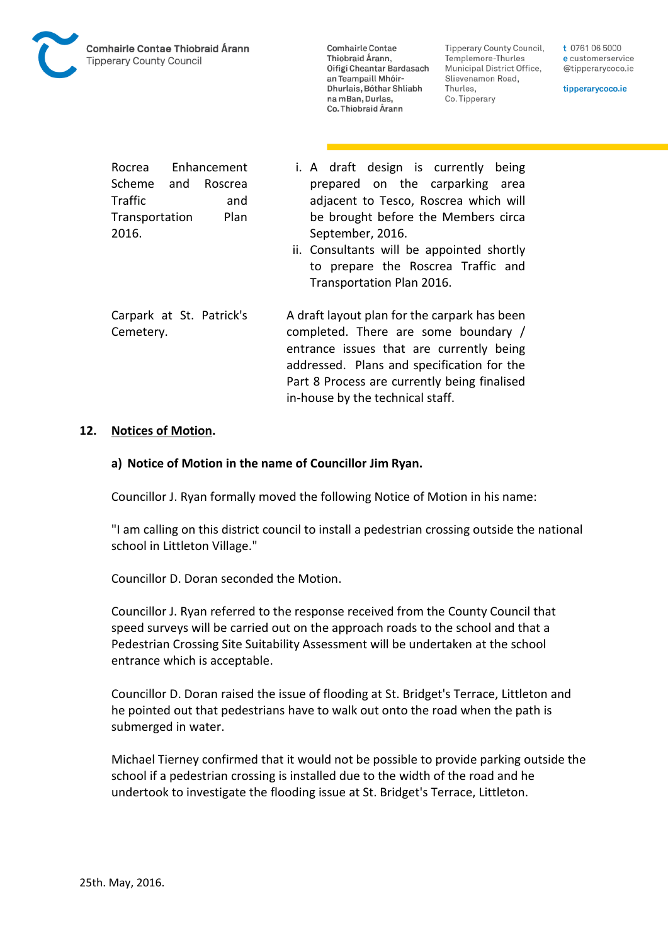

Tipperary County Council. Templemore-Thurles Municipal District Office, Slievenamon Road, Thurles, Co. Tipperary

t 0761 06 5000 e customerservice @tipperarycoco.ie

tipperarycoco.ie

Rocrea Enhancement Scheme and Roscrea Traffic and Transportation Plan 2016.

- i. A draft design is currently being prepared on the carparking area adjacent to Tesco, Roscrea which will be brought before the Members circa September, 2016.
- ii. Consultants will be appointed shortly to prepare the Roscrea Traffic and Transportation Plan 2016.

Carpark at St. Patrick's Cemetery. A draft layout plan for the carpark has been completed. There are some boundary / entrance issues that are currently being addressed. Plans and specification for the Part 8 Process are currently being finalised in-house by the technical staff.

### **12. Notices of Motion.**

## **a) Notice of Motion in the name of Councillor Jim Ryan.**

Councillor J. Ryan formally moved the following Notice of Motion in his name:

"I am calling on this district council to install a pedestrian crossing outside the national school in Littleton Village."

Councillor D. Doran seconded the Motion.

Councillor J. Ryan referred to the response received from the County Council that speed surveys will be carried out on the approach roads to the school and that a Pedestrian Crossing Site Suitability Assessment will be undertaken at the school entrance which is acceptable.

Councillor D. Doran raised the issue of flooding at St. Bridget's Terrace, Littleton and he pointed out that pedestrians have to walk out onto the road when the path is submerged in water.

Michael Tierney confirmed that it would not be possible to provide parking outside the school if a pedestrian crossing is installed due to the width of the road and he undertook to investigate the flooding issue at St. Bridget's Terrace, Littleton.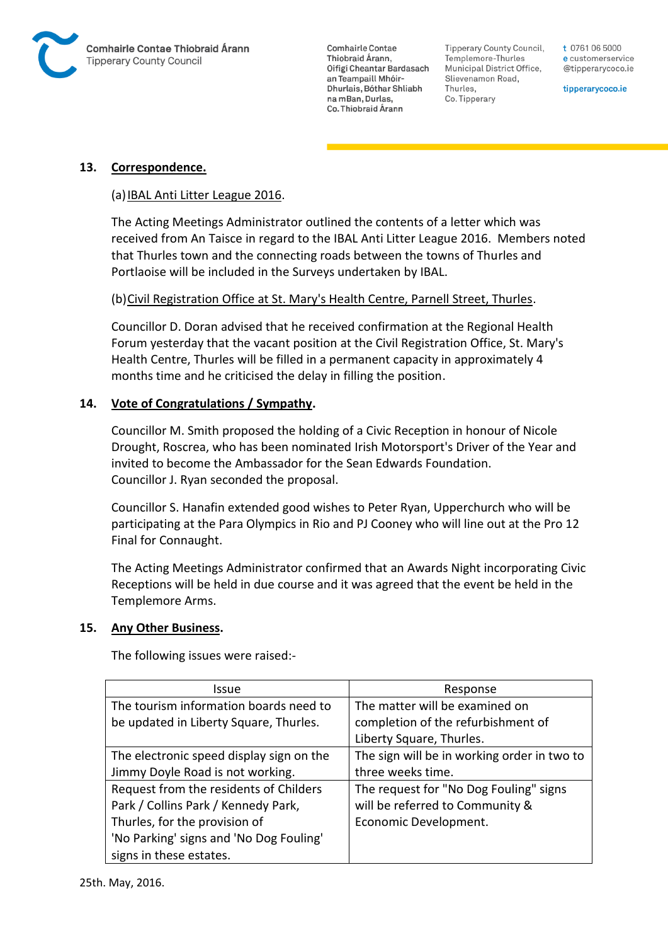

**Tipperary County Council,** Templemore-Thurles Municipal District Office, Slievenamon Road, Thurles, Co. Tipperary

t 0761 06 5000 e customerservice @tipperarycoco.ie

tipperarycoco.ie

### **13. Correspondence.**

#### (a)IBAL Anti Litter League 2016.

The Acting Meetings Administrator outlined the contents of a letter which was received from An Taisce in regard to the IBAL Anti Litter League 2016. Members noted that Thurles town and the connecting roads between the towns of Thurles and Portlaoise will be included in the Surveys undertaken by IBAL.

#### (b)Civil Registration Office at St. Mary's Health Centre, Parnell Street, Thurles.

Councillor D. Doran advised that he received confirmation at the Regional Health Forum yesterday that the vacant position at the Civil Registration Office, St. Mary's Health Centre, Thurles will be filled in a permanent capacity in approximately 4 months time and he criticised the delay in filling the position.

#### **14. Vote of Congratulations / Sympathy.**

Councillor M. Smith proposed the holding of a Civic Reception in honour of Nicole Drought, Roscrea, who has been nominated Irish Motorsport's Driver of the Year and invited to become the Ambassador for the Sean Edwards Foundation. Councillor J. Ryan seconded the proposal.

Councillor S. Hanafin extended good wishes to Peter Ryan, Upperchurch who will be participating at the Para Olympics in Rio and PJ Cooney who will line out at the Pro 12 Final for Connaught.

The Acting Meetings Administrator confirmed that an Awards Night incorporating Civic Receptions will be held in due course and it was agreed that the event be held in the Templemore Arms.

#### **15. Any Other Business.**

The following issues were raised:-

| Issue                                    | Response                                    |
|------------------------------------------|---------------------------------------------|
| The tourism information boards need to   | The matter will be examined on              |
| be updated in Liberty Square, Thurles.   | completion of the refurbishment of          |
|                                          | Liberty Square, Thurles.                    |
| The electronic speed display sign on the | The sign will be in working order in two to |
| Jimmy Doyle Road is not working.         | three weeks time.                           |
| Request from the residents of Childers   | The request for "No Dog Fouling" signs      |
| Park / Collins Park / Kennedy Park,      | will be referred to Community &             |
| Thurles, for the provision of            | Economic Development.                       |
| 'No Parking' signs and 'No Dog Fouling'  |                                             |
| signs in these estates.                  |                                             |